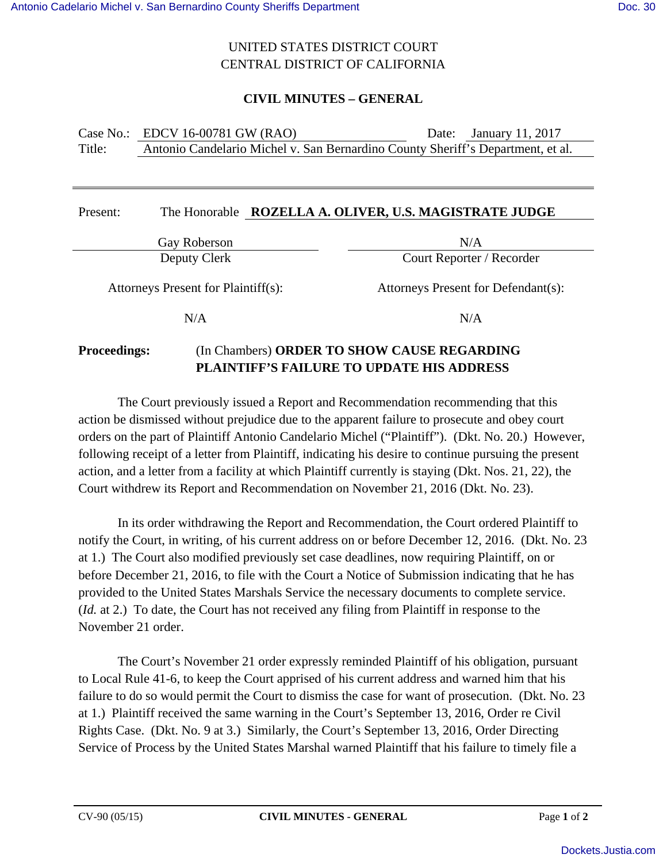## UNITED STATES DISTRICT COURT CENTRAL DISTRICT OF CALIFORNIA

## **CIVIL MINUTES – GENERAL**

|        | Case No.: EDCV 16-00781 GW (RAO)                                                | Date: January 11, 2017 |
|--------|---------------------------------------------------------------------------------|------------------------|
| Title: | Antonio Candelario Michel v. San Bernardino County Sheriff's Department, et al. |                        |

| Present:                            |              | The Honorable ROZELLA A. OLIVER, U.S. MAGISTRATE JUDGE |  |  |
|-------------------------------------|--------------|--------------------------------------------------------|--|--|
|                                     | Gay Roberson | N/A                                                    |  |  |
| Deputy Clerk                        |              | Court Reporter / Recorder                              |  |  |
| Attorneys Present for Plaintiff(s): |              | Attorneys Present for Defendant(s):                    |  |  |
|                                     | N/A          | N/A                                                    |  |  |
|                                     |              |                                                        |  |  |

# **Proceedings:** (In Chambers) **ORDER TO SHOW CAUSE REGARDING PLAINTIFF'S FAILURE TO UPDATE HIS ADDRESS**

The Court previously issued a Report and Recommendation recommending that this action be dismissed without prejudice due to the apparent failure to prosecute and obey court orders on the part of Plaintiff Antonio Candelario Michel ("Plaintiff"). (Dkt. No. 20.) However, following receipt of a letter from Plaintiff, indicating his desire to continue pursuing the present action, and a letter from a facility at which Plaintiff currently is staying (Dkt. Nos. 21, 22), the Court withdrew its Report and Recommendation on November 21, 2016 (Dkt. No. 23).

In its order withdrawing the Report and Recommendation, the Court ordered Plaintiff to notify the Court, in writing, of his current address on or before December 12, 2016. (Dkt. No. 23 at 1.) The Court also modified previously set case deadlines, now requiring Plaintiff, on or before December 21, 2016, to file with the Court a Notice of Submission indicating that he has provided to the United States Marshals Service the necessary documents to complete service. (*Id.* at 2.) To date, the Court has not received any filing from Plaintiff in response to the November 21 order.

The Court's November 21 order expressly reminded Plaintiff of his obligation, pursuant to Local Rule 41-6, to keep the Court apprised of his current address and warned him that his failure to do so would permit the Court to dismiss the case for want of prosecution. (Dkt. No. 23 at 1.) Plaintiff received the same warning in the Court's September 13, 2016, Order re Civil Rights Case. (Dkt. No. 9 at 3.) Similarly, the Court's September 13, 2016, Order Directing Service of Process by the United States Marshal warned Plaintiff that his failure to timely file a